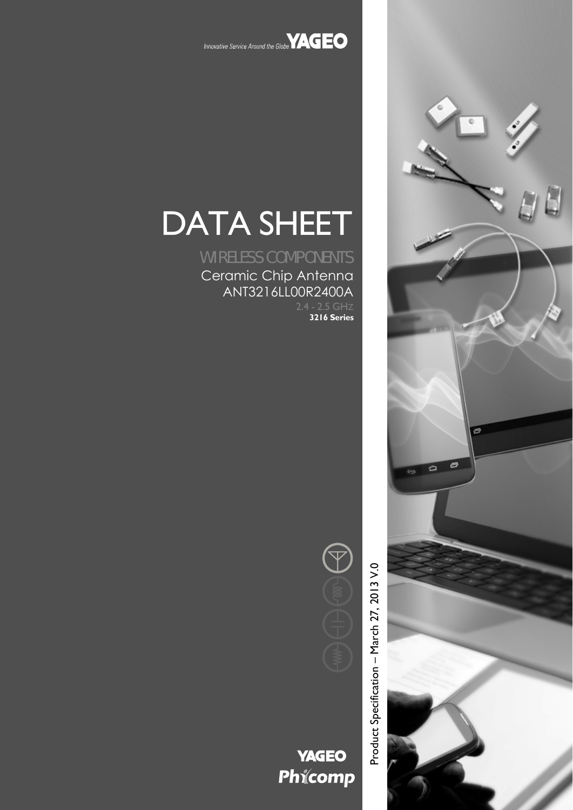

# DATA SHEET

WIRELESS COMPONENTS Ceramic Chip Antenna ANT3216LL00R2400A

**3216 Series**



Product Specification – March 27, 2013 V.0

**YAGEO** Phicomp



 $\circ$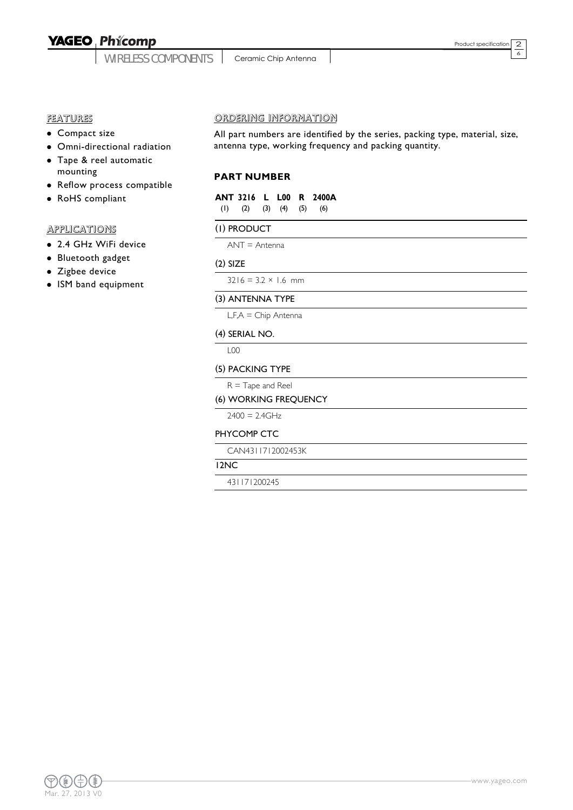WIRELESS COMPONENTS

Ceramic Chip Antenna

2  $\overline{6}$ 

#### **FEATURES**

- Compact size
- Omni-directional radiation
- Tape & reel automatic mounting
- Reflow process compatible
- RoHS compliant

#### **APPLICATIONS**

- 2.4 GHz WiFi device
- Bluetooth gadget
- Zigbee device
- ISM band equipment

#### ORDERING INFORMATION

All part numbers are identified by the series, packing type, material, size, antenna type, working frequency and packing quantity.

#### **PART NUMBER**

|                                     |  | ANT 3216 L L00 R 2400A |
|-------------------------------------|--|------------------------|
| $(1)$ $(2)$ $(3)$ $(4)$ $(5)$ $(6)$ |  |                        |

#### (1) PRODUCT

ANT = Antenna

#### (2) SIZE

 $3216 = 3.2 \times 1.6$  mm

#### (3) ANTENNA TYPE

L,F,A = Chip Antenna

#### (4) SERIAL NO.

L00

#### (5) PACKING TYPE

 $R =$ Tape and Reel

#### (6) WORKING FREQUENCY

 $2400 = 2.4$ GHz

#### PHYCOMP CTC

CAN4311712002453K

#### 12NC

431171200245

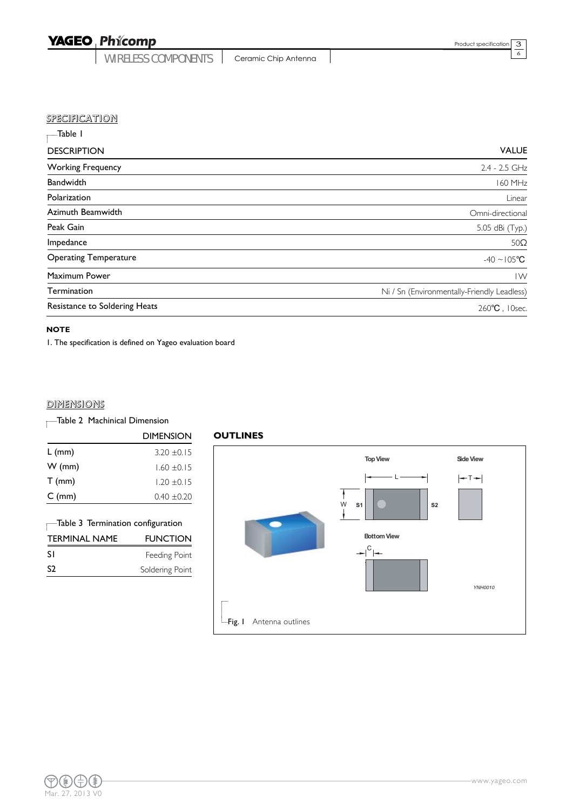WIRELESS COMPONENTS | Ceramic Chip Antenna

3 6

|  | SPECIFICATION |  |  |
|--|---------------|--|--|
|  |               |  |  |

| Table I                       |                                             |
|-------------------------------|---------------------------------------------|
| <b>DESCRIPTION</b>            | <b>VALUE</b>                                |
| <b>Working Frequency</b>      | 2.4 - 2.5 GHz                               |
| Bandwidth                     | 160 MHz                                     |
| Polarization                  | Linear                                      |
| Azimuth Beamwidth             | Omni-directional                            |
| Peak Gain                     | 5.05 dBi (Typ.)                             |
| Impedance                     | $50\Omega$                                  |
| <b>Operating Temperature</b>  | $-40 \sim 105^{\circ}C$                     |
| Maximum Power                 | $\mathsf{I}\mathsf{W}$                      |
| Termination                   | Ni / Sn (Environmentally-Friendly Leadless) |
| Resistance to Soldering Heats | 260°C, 10sec.                               |

#### **NOTE**

1. The specification is defined on Yageo evaluation board

#### **DIMENSIONS**

### Table 2 Machinical Dimension

|                  | DIMENSION       |
|------------------|-----------------|
| $L$ (mm)         | $3.20 + 0.15$   |
| $W$ (mm)         | $1.60 \pm 0.15$ |
| $T$ (mm)         | $1.20 \pm 0.15$ |
| $C \text{ (mm)}$ | $0.40 \pm 0.20$ |
|                  |                 |

## Table 3 Termination configuration

| <b>TERMINAL NAME</b> | <b>FUNCTION</b> |
|----------------------|-----------------|
| -S I                 | Feeding Point   |
| -S2                  | Soldering Point |

#### **OUTLINES**

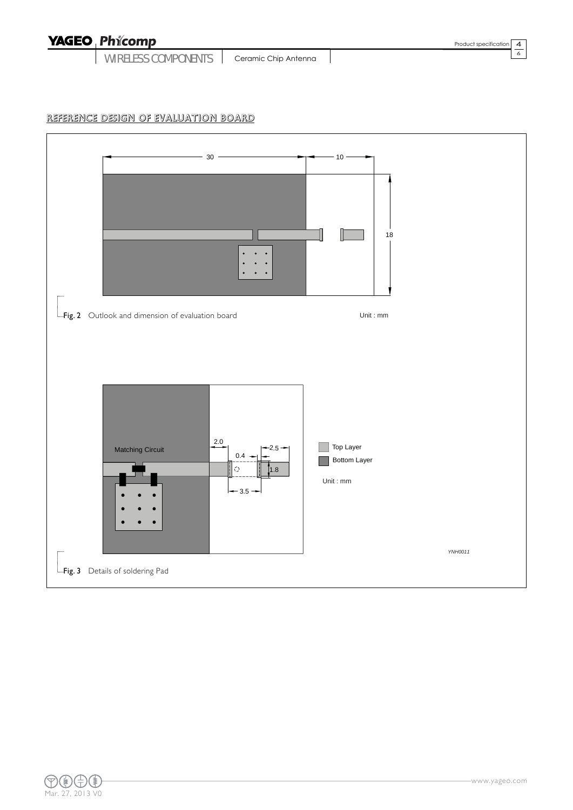WIRELESS COMPONENTS | Ceramic Chip Antenna

6

#### REFERENCE DESIGN OF EVALUATION BOARD



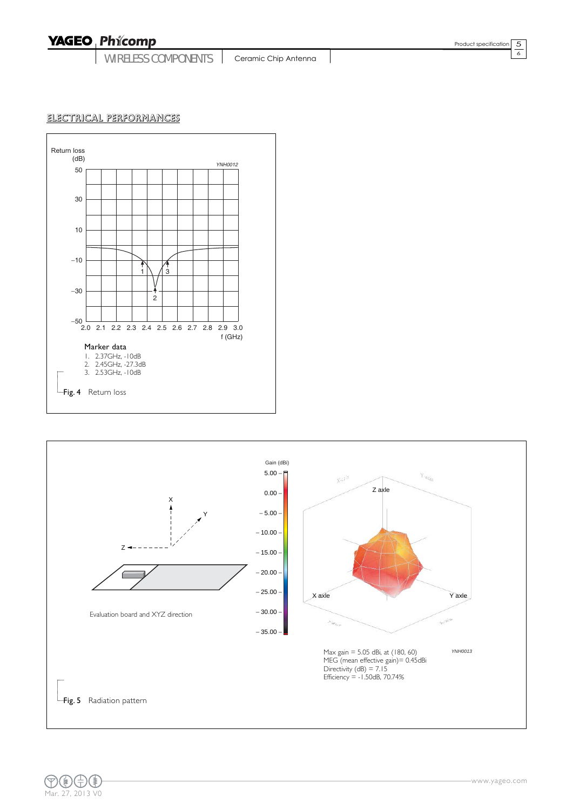WIRELESS COMPONENTS | Ceramic Chip Antenna

5 6

#### ELECTRICAL PERFORMANCES